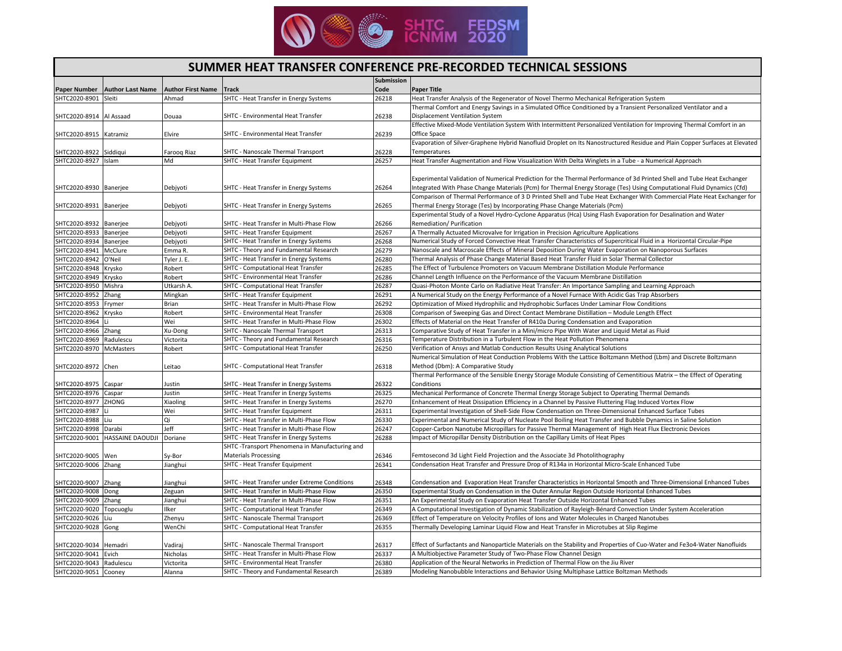

## **SUMMER HEAT TRANSFER CONFERENCE PRE-RECORDED TECHNICAL SESSIONS**

|                         |                                |                          |                                                | <b>Submission</b> |                                                                                                                             |
|-------------------------|--------------------------------|--------------------------|------------------------------------------------|-------------------|-----------------------------------------------------------------------------------------------------------------------------|
| Paper Number            | <b>Author Last Name</b>        | <b>Author First Name</b> | <b>Track</b>                                   | Code              | <b>Paper Title</b>                                                                                                          |
| SHTC2020-8901           | Sleiti                         | Ahmad                    | SHTC - Heat Transfer in Energy Systems         | 26218             | Heat Transfer Analysis of the Regenerator of Novel Thermo Mechanical Refrigeration System                                   |
|                         |                                |                          |                                                |                   | Thermal Comfort and Energy Savings in a Simulated Office Conditioned by a Transient Personalized Ventilator and a           |
| SHTC2020-8914 Al Assaad |                                | Douaa                    | SHTC - Environmental Heat Transfer             | 26238             | Displacement Ventilation System                                                                                             |
|                         |                                |                          |                                                |                   | Effective Mixed-Mode Ventilation System With Intermittent Personalized Ventilation for Improving Thermal Comfort in an      |
| SHTC2020-8915 Katramiz  |                                | Elvire                   | SHTC - Environmental Heat Transfer             | 26239             | Office Space                                                                                                                |
|                         |                                |                          |                                                |                   | Evaporation of Silver-Graphene Hybrid Nanofluid Droplet on Its Nanostructured Residue and Plain Copper Surfaces at Elevated |
| SHTC2020-8922 Siddiqui  |                                | Faroog Riaz              | SHTC - Nanoscale Thermal Transport             | 26228             | Temperatures                                                                                                                |
| SHTC2020-8927 Islam     |                                | Md                       | SHTC - Heat Transfer Equipment                 | 26257             | Heat Transfer Augmentation and Flow Visualization With Delta Winglets in a Tube - a Numerical Approach                      |
|                         |                                |                          |                                                |                   |                                                                                                                             |
|                         |                                |                          |                                                |                   | Experimental Validation of Numerical Prediction for the Thermal Performance of 3d Printed Shell and Tube Heat Exchanger     |
| SHTC2020-8930 Banerjee  |                                | Debjyoti                 | SHTC - Heat Transfer in Energy Systems         | 26264             | Integrated With Phase Change Materials (Pcm) for Thermal Energy Storage (Tes) Using Computational Fluid Dynamics (Cfd)      |
|                         |                                |                          |                                                |                   | Comparison of Thermal Performance of 3 D Printed Shell and Tube Heat Exchanger With Commercial Plate Heat Exchanger for     |
| SHTC2020-8931 Banerjee  |                                | Debjyoti                 | SHTC - Heat Transfer in Energy Systems         | 26265             | Thermal Energy Storage (Tes) by Incorporating Phase Change Materials (Pcm)                                                  |
|                         |                                |                          |                                                |                   | Experimental Study of a Novel Hydro-Cyclone Apparatus (Hca) Using Flash Evaporation for Desalination and Water              |
| SHTC2020-8932 Banerjee  |                                | Debjyoti                 | SHTC - Heat Transfer in Multi-Phase Flow       | 26266             | Remediation/ Purification                                                                                                   |
| SHTC2020-8933 Banerjee  |                                | Debjyoti                 | SHTC - Heat Transfer Equipment                 | 26267             | A Thermally Actuated Microvalve for Irrigation in Precision Agriculture Applications                                        |
| SHTC2020-8934 Banerjee  |                                | Debjyoti                 | SHTC - Heat Transfer in Energy Systems         | 26268             | Numerical Study of Forced Convective Heat Transfer Characteristics of Supercritical Fluid in a Horizontal Circular-Pipe     |
| SHTC2020-8941 McClure   |                                | Emma R.                  | SHTC - Theory and Fundamental Research         | 26279             | Nanoscale and Macroscale Effects of Mineral Deposition During Water Evaporation on Nanoporous Surfaces                      |
| SHTC2020-8942           | O'Neil                         | Tyler J. E.              | SHTC - Heat Transfer in Energy Systems         | 26280             | Thermal Analysis of Phase Change Material Based Heat Transfer Fluid in Solar Thermal Collector                              |
| SHTC2020-8948           | Krysko                         | Robert                   | SHTC - Computational Heat Transfer             | 26285             | The Effect of Turbulence Promoters on Vacuum Membrane Distillation Module Performance                                       |
| SHTC2020-8949 Krysko    |                                | Robert                   | SHTC - Environmental Heat Transfer             | 26286             | Channel Length Influence on the Performance of the Vacuum Membrane Distillation                                             |
| SHTC2020-8950           | Mishra                         | Utkarsh A                | SHTC - Computational Heat Transfer             | 26287             | Quasi-Photon Monte Carlo on Radiative Heat Transfer: An Importance Sampling and Learning Approach                           |
| SHTC2020-8952           | Zhang                          | Mingkan                  | SHTC - Heat Transfer Equipment                 | 26291             | A Numerical Study on the Energy Performance of a Novel Furnace With Acidic Gas Trap Absorbers                               |
| SHTC2020-8953 Frymer    |                                | Brian                    | SHTC - Heat Transfer in Multi-Phase Flow       | 26292             | Optimization of Mixed Hydrophilic and Hydrophobic Surfaces Under Laminar Flow Conditions                                    |
| SHTC2020-8962           | Krysko                         | Robert                   | SHTC - Environmental Heat Transfer             | 26308             | Comparison of Sweeping Gas and Direct Contact Membrane Distillation - Module Length Effect                                  |
| SHTC2020-8964           |                                | Wei                      | SHTC - Heat Transfer in Multi-Phase Flow       | 26302             | Effects of Material on the Heat Transfer of R410a During Condensation and Evaporation                                       |
| SHTC2020-8966 Zhang     |                                | Xu-Dong                  | SHTC - Nanoscale Thermal Transport             | 26313             | Comparative Study of Heat Transfer in a Mini/micro Pipe With Water and Liquid Metal as Fluid                                |
| SHTC2020-8969           | Radulescu                      | Victorita                | SHTC - Theory and Fundamental Research         | 26316             | Temperature Distribution in a Turbulent Flow in the Heat Pollution Phenomena                                                |
| SHTC2020-8970           | <b>McMasters</b>               | Robert                   | SHTC - Computational Heat Transfer             | 26250             | Verification of Ansys and Matlab Conduction Results Using Analytical Solutions                                              |
|                         |                                |                          |                                                |                   | Numerical Simulation of Heat Conduction Problems With the Lattice Boltzmann Method (Lbm) and Discrete Boltzmann             |
| SHTC2020-8972 Chen      |                                | Leitao                   | SHTC - Computational Heat Transfer             | 26318             | Method (Dbm): A Comparative Study                                                                                           |
|                         |                                |                          |                                                |                   | Thermal Performance of the Sensible Energy Storage Module Consisting of Cementitious Matrix - the Effect of Operating       |
| SHTC2020-8975 Caspar    |                                | Justin                   | SHTC - Heat Transfer in Energy Systems         | 26322             | Conditions                                                                                                                  |
| SHTC2020-8976 Caspar    |                                | Justin                   | SHTC - Heat Transfer in Energy Systems         | 26325             | Mechanical Performance of Concrete Thermal Energy Storage Subject to Operating Thermal Demands                              |
| SHTC2020-8977           | <b>ZHONG</b>                   | Xiaoling                 | SHTC - Heat Transfer in Energy Systems         | 26270             | Enhancement of Heat Dissipation Efficiency in a Channel by Passive Fluttering Flag Induced Vortex Flow                      |
| SHTC2020-8987           |                                | Wei                      | SHTC - Heat Transfer Equipment                 | 26311             | Experimental Investigation of Shell-Side Flow Condensation on Three-Dimensional Enhanced Surface Tubes                      |
| SHTC2020-8988           | Liu                            | Qi                       | SHTC - Heat Transfer in Multi-Phase Flow       | 26330             | Experimental and Numerical Study of Nucleate Pool Boiling Heat Transfer and Bubble Dynamics in Saline Solution              |
| SHTC2020-8998           | Darabi                         | Jeff                     | SHTC - Heat Transfer in Multi-Phase Flow       | 26247             | Copper-Carbon Nanotube Micropillars for Passive Thermal Management of High Heat Flux Electronic Devices                     |
|                         | SHTC2020-9001 HASSAINE DAOUDJI | Doriane                  | SHTC - Heat Transfer in Energy Systems         | 26288             | Impact of Micropillar Density Distribution on the Capillary Limits of Heat Pipes                                            |
|                         |                                |                          | SHTC -Transport Phenomena in Manufacturing and |                   |                                                                                                                             |
| SHTC2020-9005 Wen       |                                | Sy-Bor                   | <b>Materials Processing</b>                    | 26346             | Femtosecond 3d Light Field Projection and the Associate 3d Photolithography                                                 |
| SHTC2020-9006 Zhang     |                                | Jianghui                 | SHTC - Heat Transfer Equipment                 | 26341             | Condensation Heat Transfer and Pressure Drop of R134a in Horizontal Micro-Scale Enhanced Tube                               |
|                         |                                |                          |                                                |                   |                                                                                                                             |
| SHTC2020-9007 Zhang     |                                | Jianghui                 | SHTC - Heat Transfer under Extreme Conditions  | 26348             | Condensation and Evaporation Heat Transfer Characteristics in Horizontal Smooth and Three-Dimensional Enhanced Tubes        |
| SHTC2020-9008 Dong      |                                | Zeguan                   | SHTC - Heat Transfer in Multi-Phase Flow       | 26350             | Experimental Study on Condensation in the Outer Annular Region Outside Horizontal Enhanced Tubes                            |
| SHTC2020-9009           | Zhang                          | Jianghui                 | SHTC - Heat Transfer in Multi-Phase Flow       | 26351             | An Experimental Study on Evaporation Heat Transfer Outside Horizontal Enhanced Tubes                                        |
| SHTC2020-9020 Topcuoglu |                                | Ilker                    | SHTC - Computational Heat Transfer             | 26349             | A Computational Investigation of Dynamic Stabilization of Rayleigh-Bénard Convection Under System Acceleration              |
| SHTC2020-9026 Liu       |                                | Zhenyu                   | SHTC - Nanoscale Thermal Transport             | 26369             | Effect of Temperature on Velocity Profiles of Ions and Water Molecules in Charged Nanotubes                                 |
| SHTC2020-9028           | Gong                           | WenChi                   | SHTC - Computational Heat Transfer             | 26355             | Thermally Developing Laminar Liquid Flow and Heat Transfer in Microtubes at Slip Regime                                     |
|                         |                                |                          |                                                |                   |                                                                                                                             |
| SHTC2020-9034 Hemadri   |                                | Vadiraj                  | SHTC - Nanoscale Thermal Transport             | 26317             | Effect of Surfactants and Nanoparticle Materials on the Stability and Properties of Cuo-Water and Fe3o4-Water Nanofluids    |
| SHTC2020-9041           | Evich                          | Nicholas                 | SHTC - Heat Transfer in Multi-Phase Flow       | 26337             | A Multiobjective Parameter Study of Two-Phase Flow Channel Design                                                           |
| SHTC2020-9043 Radulescu |                                | Victorita                | SHTC - Environmental Heat Transfer             | 26380             | Application of the Neural Networks in Prediction of Thermal Flow on the Jiu River                                           |
| SHTC2020-9051 Cooney    |                                | Alanna                   | SHTC - Theory and Fundamental Research         | 26389             | Modeling Nanobubble Interactions and Behavior Using Multiphase Lattice Boltzman Methods                                     |